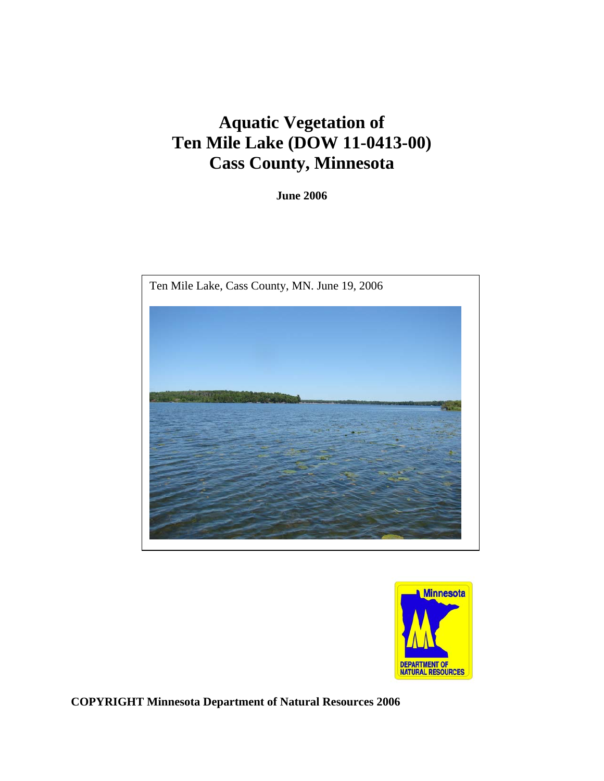# **Aquatic Vegetation of Ten Mile Lake (DOW 11-0413-00) Cass County, Minnesota**

**June 2006** 





**COPYRIGHT Minnesota Department of Natural Resources 2006**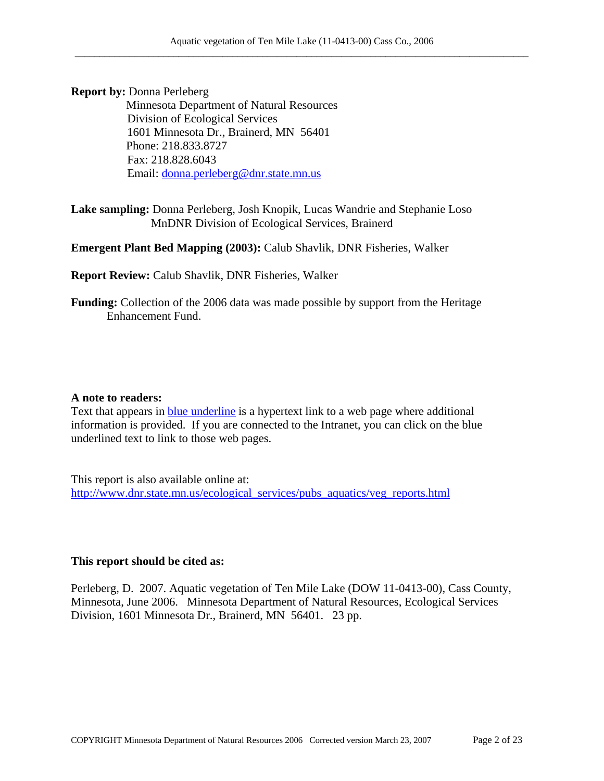**Report by: Donna Perleberg<br>Minnesota Department of Natural Resources**  Division of Ecological Services 1601 Minnesota Dr., Brainerd, MN 56401 Phone: 218.833.8727 Fax: 218.828.6043 Email: [donna.perleberg@dnr.state.mn.us](mailto:donna.perleberg@dnr.state.mn.us)

**Lake sampling:** Donna Perleberg, Josh Knopik, Lucas Wandrie and Stephanie Loso MnDNR Division of Ecological Services, Brainerd

**Emergent Plant Bed Mapping (2003):** Calub Shavlik, DNR Fisheries, Walker

**Report Review:** Calub Shavlik, DNR Fisheries, Walker

**Funding:** Collection of the 2006 data was made possible by support from the Heritage Enhancement Fund.

#### **A note to readers:**

Text that appears in **blue underline** is a hypertext link to a web page where additional information is provided. If you are connected to the Intranet, you can click on the blue underlined text to link to those web pages.

This report is also available online at: [http://www.dnr.state.mn.us/ecological\\_services/pubs\\_aquatics/veg\\_reports.html](http://www.dnr.state.mn.us/ecological_services/pubs_aquatics/veg_reports.html)

#### **This report should be cited as:**

Perleberg, D. 2007. Aquatic vegetation of Ten Mile Lake (DOW 11-0413-00), Cass County, Minnesota, June 2006. Minnesota Department of Natural Resources, Ecological Services Division, 1601 Minnesota Dr., Brainerd, MN 56401. 23 pp.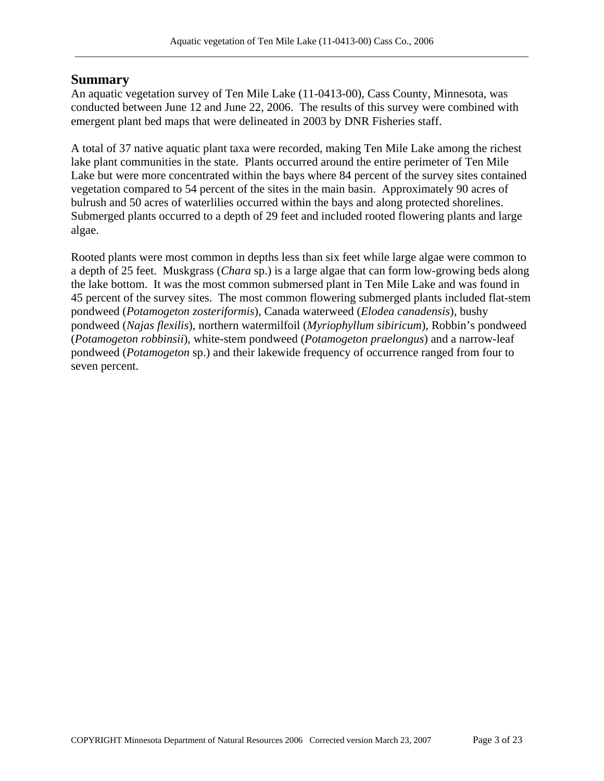### **Summary**

An aquatic vegetation survey of Ten Mile Lake (11-0413-00), Cass County, Minnesota, was conducted between June 12 and June 22, 2006. The results of this survey were combined with emergent plant bed maps that were delineated in 2003 by DNR Fisheries staff.

A total of 37 native aquatic plant taxa were recorded, making Ten Mile Lake among the richest lake plant communities in the state. Plants occurred around the entire perimeter of Ten Mile Lake but were more concentrated within the bays where 84 percent of the survey sites contained vegetation compared to 54 percent of the sites in the main basin. Approximately 90 acres of bulrush and 50 acres of waterlilies occurred within the bays and along protected shorelines. Submerged plants occurred to a depth of 29 feet and included rooted flowering plants and large algae.

Rooted plants were most common in depths less than six feet while large algae were common to a depth of 25 feet. Muskgrass (*Chara* sp.) is a large algae that can form low-growing beds along the lake bottom. It was the most common submersed plant in Ten Mile Lake and was found in 45 percent of the survey sites. The most common flowering submerged plants included flat-stem pondweed (*Potamogeton zosteriformis*), Canada waterweed (*Elodea canadensis*), bushy pondweed (*Najas flexilis*), northern watermilfoil (*Myriophyllum sibiricum*), Robbin's pondweed (*Potamogeton robbinsii*), white-stem pondweed (*Potamogeton praelongus*) and a narrow-leaf pondweed (*Potamogeton* sp.) and their lakewide frequency of occurrence ranged from four to seven percent.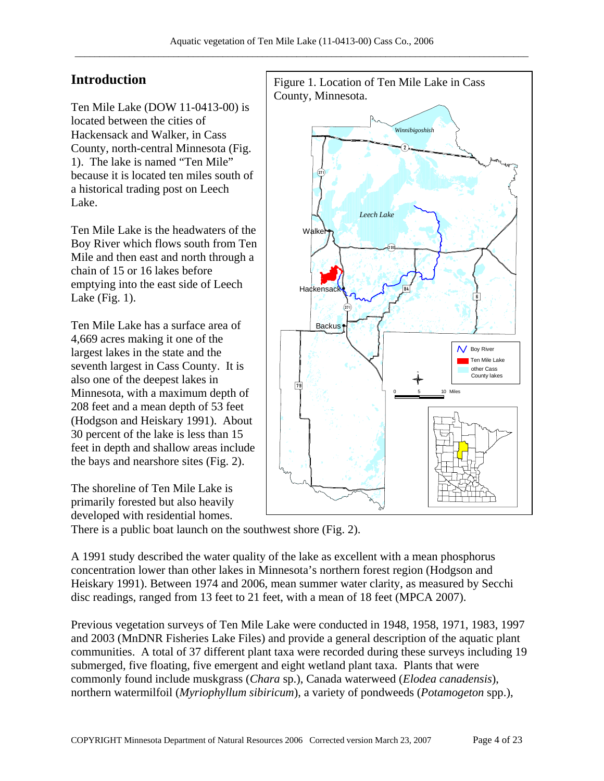### **Introduction**

Ten Mile Lake (DOW 11-0413-00) is located between the cities of Hackensack and Walker, in Cass County, north-central Minnesota (Fig. 1). The lake is named "Ten Mile" because it is located ten miles south of a historical trading post on Leech Lake.

Ten Mile Lake is the headwaters of the Boy River which flows south from Ten Mile and then east and north through a chain of 15 or 16 lakes before emptying into the east side of Leech Lake (Fig. 1).

Ten Mile Lake has a surface area of 4,669 acres making it one of the largest lakes in the state and the seventh largest in Cass County. It is also one of the deepest lakes in Minnesota, with a maximum depth of 208 feet and a mean depth of 53 feet (Hodgson and Heiskary 1991). About 30 percent of the lake is less than 15 feet in depth and shallow areas include the bays and nearshore sites (Fig. 2).

The shoreline of Ten Mile Lake is primarily forested but also heavily developed with residential homes.



There is a public boat launch on the southwest shore (Fig. 2).

A 1991 study described the water quality of the lake as excellent with a mean phosphorus concentration lower than other lakes in Minnesota's northern forest region (Hodgson and Heiskary 1991). Between 1974 and 2006, mean summer water clarity, as measured by Secchi disc readings, ranged from 13 feet to 21 feet, with a mean of 18 feet (MPCA 2007).

Previous vegetation surveys of Ten Mile Lake were conducted in 1948, 1958, 1971, 1983, 1997 and 2003 (MnDNR Fisheries Lake Files) and provide a general description of the aquatic plant communities. A total of 37 different plant taxa were recorded during these surveys including 19 submerged, five floating, five emergent and eight wetland plant taxa. Plants that were commonly found include muskgrass (*Chara* sp.), Canada waterweed (*Elodea canadensis*), northern watermilfoil (*Myriophyllum sibiricum*), a variety of pondweeds (*Potamogeton* spp.),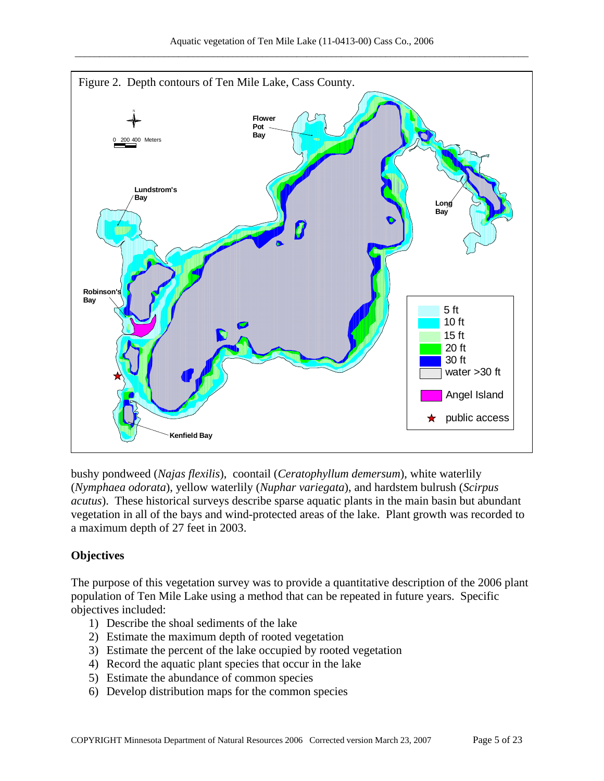

bushy pondweed (*Najas flexilis*), coontail (*Ceratophyllum demersum*), white waterlily (*Nymphaea odorata*), yellow waterlily (*Nuphar variegata*), and hardstem bulrush (*Scirpus acutus*). These historical surveys describe sparse aquatic plants in the main basin but abundant vegetation in all of the bays and wind-protected areas of the lake. Plant growth was recorded to a maximum depth of 27 feet in 2003.

### **Objectives**

The purpose of this vegetation survey was to provide a quantitative description of the 2006 plant population of Ten Mile Lake using a method that can be repeated in future years. Specific objectives included:

- 1) Describe the shoal sediments of the lake
- 2) Estimate the maximum depth of rooted vegetation
- 3) Estimate the percent of the lake occupied by rooted vegetation
- 4) Record the aquatic plant species that occur in the lake
- 5) Estimate the abundance of common species
- 6) Develop distribution maps for the common species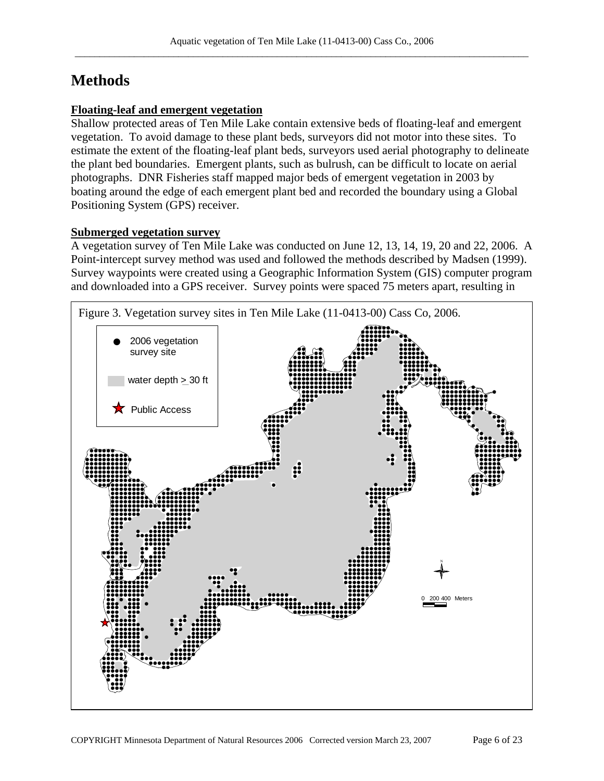# **Methods**

### **Floating-leaf and emergent vegetation**

Shallow protected areas of Ten Mile Lake contain extensive beds of floating-leaf and emergent vegetation. To avoid damage to these plant beds, surveyors did not motor into these sites. To estimate the extent of the floating-leaf plant beds, surveyors used aerial photography to delineate the plant bed boundaries. Emergent plants, such as bulrush, can be difficult to locate on aerial photographs. DNR Fisheries staff mapped major beds of emergent vegetation in 2003 by boating around the edge of each emergent plant bed and recorded the boundary using a Global Positioning System (GPS) receiver.

### **Submerged vegetation survey**

A vegetation survey of Ten Mile Lake was conducted on June 12, 13, 14, 19, 20 and 22, 2006. A Point-intercept survey method was used and followed the methods described by Madsen (1999). Survey waypoints were created using a Geographic Information System (GIS) computer program and downloaded into a GPS receiver. Survey points were spaced 75 meters apart, resulting in

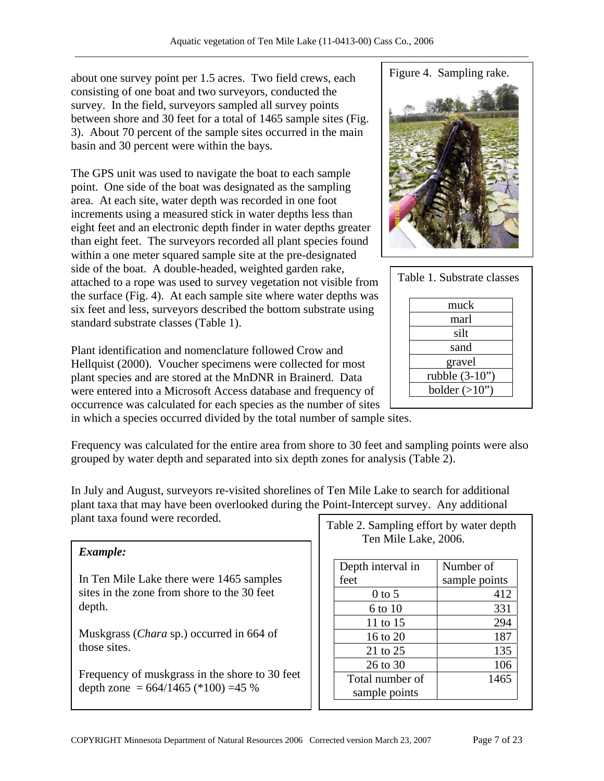about one survey point per 1.5 acres. Two field crews, each consisting of one boat and two surveyors, conducted the survey. In the field, surveyors sampled all survey points between shore and 30 feet for a total of 1465 sample sites (Fig. 3). About 70 percent of the sample sites occurred in the main basin and 30 percent were within the bays.

The GPS unit was used to navigate the boat to each sample point. One side of the boat was designated as the sampling area. At each site, water depth was recorded in one foot increments using a measured stick in water depths less than eight feet and an electronic depth finder in water depths greater than eight feet. The surveyors recorded all plant species found within a one meter squared sample site at the pre-designated side of the boat. A double-headed, weighted garden rake, attached to a rope was used to survey vegetation not visible from the surface (Fig. 4). At each sample site where water depths was six feet and less, surveyors described the bottom substrate using standard substrate classes (Table 1).

Plant identification and nomenclature followed Crow and Hellquist (2000). Voucher specimens were collected for most plant species and are stored at the MnDNR in Brainerd. Data were entered into a Microsoft Access database and frequency of occurrence was calculated for each species as the number of sites

in which a species occurred divided by the total number of sample sites.

Frequency was calculated for the entire area from shore to 30 feet and sampling points were also grouped by water depth and separated into six depth zones for analysis (Table 2).

In July and August, surveyors re-visited shorelines of Ten Mile Lake to search for additional plant taxa that may have been overlooked during the Point-Intercept survey. Any additional

| Example:                                                                                          |      |
|---------------------------------------------------------------------------------------------------|------|
| In Ten Mile Lake there were 1465 samples<br>sites in the zone from shore to the 30 feet<br>depth. | feet |
| Muskgrass ( <i>Chara sp.</i> ) occurred in 664 of<br>those sites.                                 |      |
| Frequency of muskgrass in the shore to 30 feet                                                    |      |

depth zone =  $664/1465$  (\*100) = 45 %



sample points

Figure 4. Sampling rake.

| Table 1. Substrate classes |  |
|----------------------------|--|
| muck                       |  |
| marl                       |  |
| silt                       |  |
| sand                       |  |
| gravel                     |  |
| rubble (3-10")             |  |
| bolder $(>10")$            |  |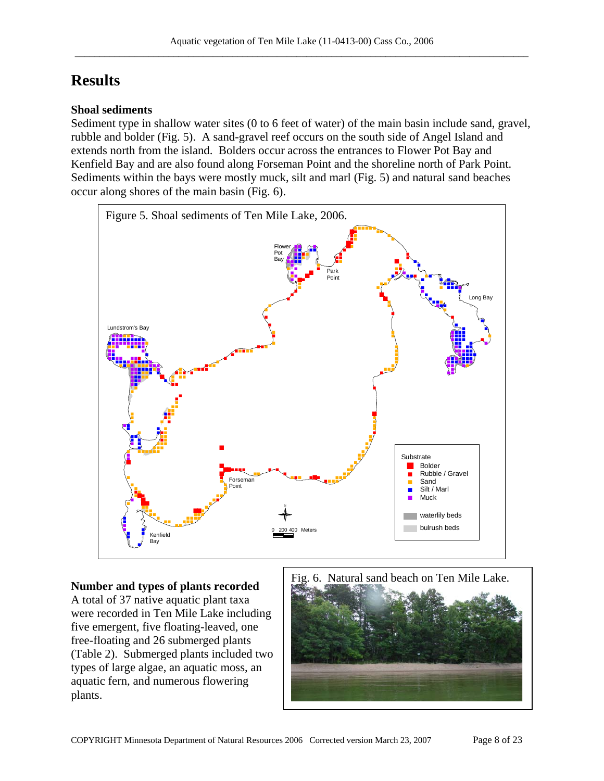# **Results**

### **Shoal sediments**

Sediment type in shallow water sites (0 to 6 feet of water) of the main basin include sand, gravel, rubble and bolder (Fig. 5). A sand-gravel reef occurs on the south side of Angel Island and extends north from the island. Bolders occur across the entrances to Flower Pot Bay and Kenfield Bay and are also found along Forseman Point and the shoreline north of Park Point. Sediments within the bays were mostly muck, silt and marl (Fig. 5) and natural sand beaches occur along shores of the main basin (Fig. 6).



## **Number and types of plants recorded**

A total of 37 native aquatic plant taxa were recorded in Ten Mile Lake including five emergent, five floating-leaved, one free-floating and 26 submerged plants (Table 2). Submerged plants included two types of large algae, an aquatic moss, an aquatic fern, and numerous flowering plants.

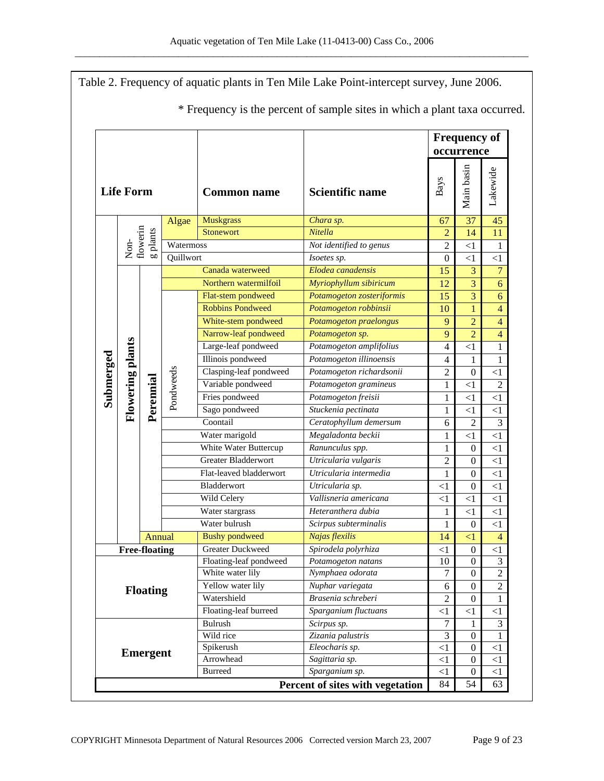|                 |                  |                                              |                                                                                |                                   | Table 2. Frequency of aquatic plants in Ten Mile Lake Point-intercept survey, June 2006.<br>* Frequency is the percent of sample sites in which a plant taxa occurred. |                  |                  |                         |
|-----------------|------------------|----------------------------------------------|--------------------------------------------------------------------------------|-----------------------------------|------------------------------------------------------------------------------------------------------------------------------------------------------------------------|------------------|------------------|-------------------------|
|                 |                  |                                              |                                                                                | <b>Frequency of</b><br>occurrence |                                                                                                                                                                        |                  |                  |                         |
|                 | <b>Life Form</b> |                                              | Main basin<br>Lakewide<br>Bays<br><b>Scientific name</b><br><b>Common name</b> |                                   |                                                                                                                                                                        |                  |                  |                         |
|                 |                  |                                              | Algae                                                                          | <b>Muskgrass</b>                  | Chara sp.                                                                                                                                                              | 67               | 37               | 45                      |
|                 |                  | flowerin<br>$\boldsymbol{\mathsf{g}}$ plants |                                                                                | Stonewort                         | Nitella                                                                                                                                                                | $\overline{2}$   | 14               | 11                      |
|                 | $Non-$           |                                              | Watermoss                                                                      |                                   | Not identified to genus                                                                                                                                                | $\overline{2}$   | <1               | 1                       |
|                 |                  |                                              | Quillwort                                                                      |                                   | Isoetes sp.                                                                                                                                                            | $\boldsymbol{0}$ | <1               | <1                      |
|                 |                  |                                              |                                                                                | Canada waterweed                  | Elodea canadensis                                                                                                                                                      | 15               | 3                | $\overline{7}$          |
|                 |                  |                                              |                                                                                | Northern watermilfoil             | Myriophyllum sibiricum                                                                                                                                                 | 12               | 3                | 6                       |
|                 |                  |                                              |                                                                                | Flat-stem pondweed                | Potamogeton zosteriformis                                                                                                                                              | 15               | $\overline{3}$   | $\boldsymbol{6}$        |
|                 |                  |                                              |                                                                                | <b>Robbins Pondweed</b>           | Potamogeton robbinsii                                                                                                                                                  | 10               | $\mathbf{1}$     | $\overline{\mathbf{4}}$ |
|                 |                  |                                              |                                                                                | White-stem pondweed               | Potamogeton praelongus                                                                                                                                                 | 9                | $\overline{2}$   | $\overline{4}$          |
|                 |                  |                                              |                                                                                | Narrow-leaf pondweed              | Potamogeton sp.                                                                                                                                                        | 9                | $\overline{2}$   | $\overline{4}$          |
|                 |                  | <b>Flowering plants</b><br>Perennial         |                                                                                | Large-leaf pondweed               | Potamogeton amplifolius                                                                                                                                                | $\overline{4}$   | <1               | 1                       |
|                 |                  |                                              |                                                                                | Illinois pondweed                 | Potamogeton illinoensis                                                                                                                                                | $\overline{4}$   | 1                | $\mathbf{1}$            |
|                 |                  |                                              |                                                                                | Clasping-leaf pondweed            | Potamogeton richardsonii                                                                                                                                               | $\overline{c}$   | $\mathbf{0}$     | $\leq$ 1                |
|                 |                  |                                              | Pondweeds                                                                      | Variable pondweed                 | Potamogeton gramineus                                                                                                                                                  | $\mathbf{1}$     | <1               | $\overline{2}$          |
| Submerged       |                  |                                              |                                                                                | Fries pondweed                    | Potamogeton freisii                                                                                                                                                    | 1                | $<$ 1            | $\leq$ 1                |
|                 |                  |                                              |                                                                                | Sago pondweed                     | Stuckenia pectinata                                                                                                                                                    | 1                | <1               | <1                      |
|                 |                  |                                              |                                                                                | Coontail                          | Ceratophyllum demersum                                                                                                                                                 | 6                | $\overline{2}$   | 3                       |
|                 |                  |                                              |                                                                                | Water marigold                    | Megaladonta beckii                                                                                                                                                     | 1                | $<$ 1            | <1                      |
|                 |                  |                                              |                                                                                | White Water Buttercup             | Ranunculus spp.                                                                                                                                                        | 1                | $\mathbf{0}$     | <1                      |
|                 |                  |                                              |                                                                                | Greater Bladderwort               | Utricularia vulgaris                                                                                                                                                   | $\overline{c}$   | $\boldsymbol{0}$ | $\leq$ 1                |
|                 |                  |                                              |                                                                                | Flat-leaved bladderwort           | Utricularia intermedia                                                                                                                                                 | $\mathbf{1}$     | $\boldsymbol{0}$ | $\leq$ 1                |
|                 |                  |                                              |                                                                                | Bladderwort                       | Utricularia sp.                                                                                                                                                        | $<$ 1            | $\boldsymbol{0}$ | <1                      |
|                 |                  |                                              |                                                                                | Wild Celery                       | Vallisneria americana                                                                                                                                                  | $<$ 1            | $\leq$ 1         | $\leq$ 1                |
|                 |                  |                                              |                                                                                | Water stargrass                   | Heteranthera dubia                                                                                                                                                     | $\mathbf{1}$     | $\leq$ 1         | $\leq$ 1                |
|                 |                  |                                              |                                                                                | Water bulrush                     | Scirpus subterminalis                                                                                                                                                  | 1                | $\boldsymbol{0}$ | <1                      |
|                 |                  | Annual                                       |                                                                                | <b>Bushy pondweed</b>             | Najas flexilis                                                                                                                                                         | 14               | $<$ 1            | $\overline{4}$          |
|                 |                  | <b>Free-floating</b>                         |                                                                                | <b>Greater Duckweed</b>           | Spirodela polyrhiza                                                                                                                                                    | $<$ 1            | $\boldsymbol{0}$ | $\leq$ 1                |
|                 |                  |                                              |                                                                                | Floating-leaf pondweed            | Potamogeton natans                                                                                                                                                     | 10               | $\mathbf{0}$     | $\mathfrak{Z}$          |
|                 |                  |                                              |                                                                                | White water lily                  | Nymphaea odorata                                                                                                                                                       | $\overline{7}$   | $\boldsymbol{0}$ | $\overline{2}$          |
|                 |                  | <b>Floating</b>                              |                                                                                | Yellow water lily                 | Nuphar variegata                                                                                                                                                       | 6                | $\overline{0}$   | $\overline{2}$          |
|                 |                  |                                              |                                                                                | Watershield                       | Brasenia schreberi                                                                                                                                                     | $\overline{2}$   | $\overline{0}$   | $\mathbf{1}$            |
|                 |                  |                                              |                                                                                | Floating-leaf burreed             | Sparganium fluctuans                                                                                                                                                   | $<$ 1            | $\leq$ 1         | $\leq$ 1                |
|                 |                  |                                              |                                                                                | Bulrush                           | Scirpus sp.                                                                                                                                                            | 7                | 1                | 3                       |
|                 |                  |                                              |                                                                                | Wild rice                         | Zizania palustris                                                                                                                                                      | 3                | $\mathbf{0}$     | 1                       |
| <b>Emergent</b> |                  |                                              |                                                                                | Spikerush                         | Eleocharis sp.                                                                                                                                                         | $\leq$ 1         | $\boldsymbol{0}$ | $\leq$ 1                |
|                 |                  |                                              | Arrowhead                                                                      | Sagittaria sp.                    | $<$ 1                                                                                                                                                                  | $\boldsymbol{0}$ | $\leq$ 1         |                         |
|                 |                  |                                              | <b>Burreed</b>                                                                 | Sparganium sp.                    | $<$ 1                                                                                                                                                                  | $\boldsymbol{0}$ | $\leq$ 1         |                         |
|                 |                  |                                              |                                                                                |                                   | Percent of sites with vegetation                                                                                                                                       | 84               | 54               | 63                      |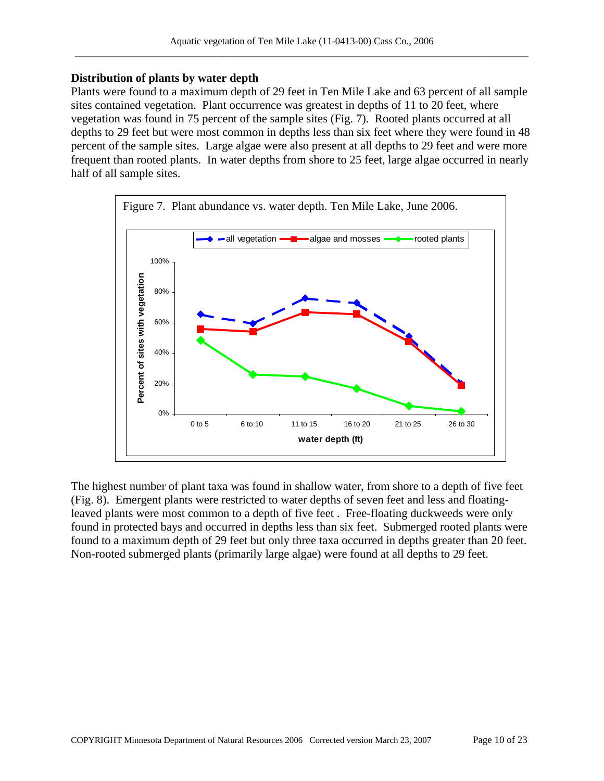### **Distribution of plants by water depth**

Plants were found to a maximum depth of 29 feet in Ten Mile Lake and 63 percent of all sample sites contained vegetation. Plant occurrence was greatest in depths of 11 to 20 feet, where vegetation was found in 75 percent of the sample sites (Fig. 7). Rooted plants occurred at all depths to 29 feet but were most common in depths less than six feet where they were found in 48 percent of the sample sites. Large algae were also present at all depths to 29 feet and were more frequent than rooted plants. In water depths from shore to 25 feet, large algae occurred in nearly half of all sample sites.



The highest number of plant taxa was found in shallow water, from shore to a depth of five feet (Fig. 8). Emergent plants were restricted to water depths of seven feet and less and floatingleaved plants were most common to a depth of five feet . Free-floating duckweeds were only found in protected bays and occurred in depths less than six feet. Submerged rooted plants were found to a maximum depth of 29 feet but only three taxa occurred in depths greater than 20 feet. Non-rooted submerged plants (primarily large algae) were found at all depths to 29 feet.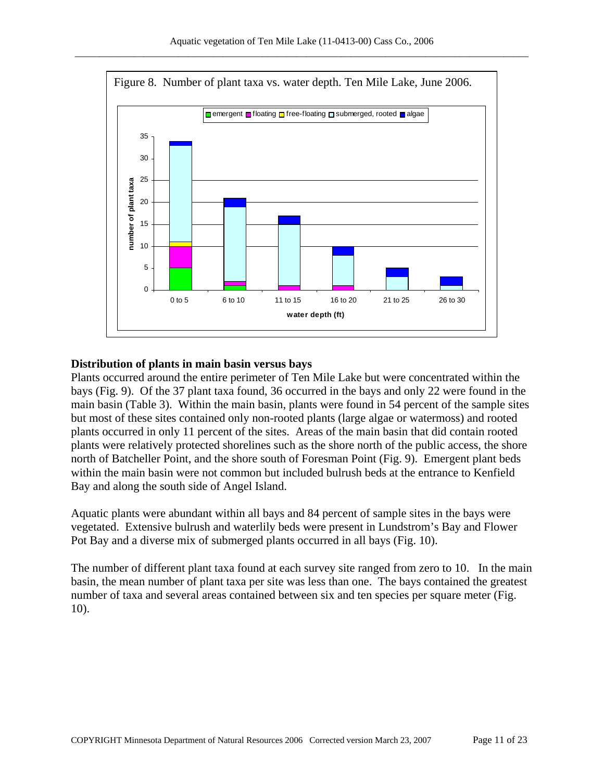

### **Distribution of plants in main basin versus bays**

Plants occurred around the entire perimeter of Ten Mile Lake but were concentrated within the bays (Fig. 9). Of the 37 plant taxa found, 36 occurred in the bays and only 22 were found in the main basin (Table 3). Within the main basin, plants were found in 54 percent of the sample sites but most of these sites contained only non-rooted plants (large algae or watermoss) and rooted plants occurred in only 11 percent of the sites. Areas of the main basin that did contain rooted plants were relatively protected shorelines such as the shore north of the public access, the shore north of Batcheller Point, and the shore south of Foresman Point (Fig. 9). Emergent plant beds within the main basin were not common but included bulrush beds at the entrance to Kenfield Bay and along the south side of Angel Island.

Aquatic plants were abundant within all bays and 84 percent of sample sites in the bays were vegetated. Extensive bulrush and waterlily beds were present in Lundstrom's Bay and Flower Pot Bay and a diverse mix of submerged plants occurred in all bays (Fig. 10).

The number of different plant taxa found at each survey site ranged from zero to 10. In the main basin, the mean number of plant taxa per site was less than one. The bays contained the greatest number of taxa and several areas contained between six and ten species per square meter (Fig. 10).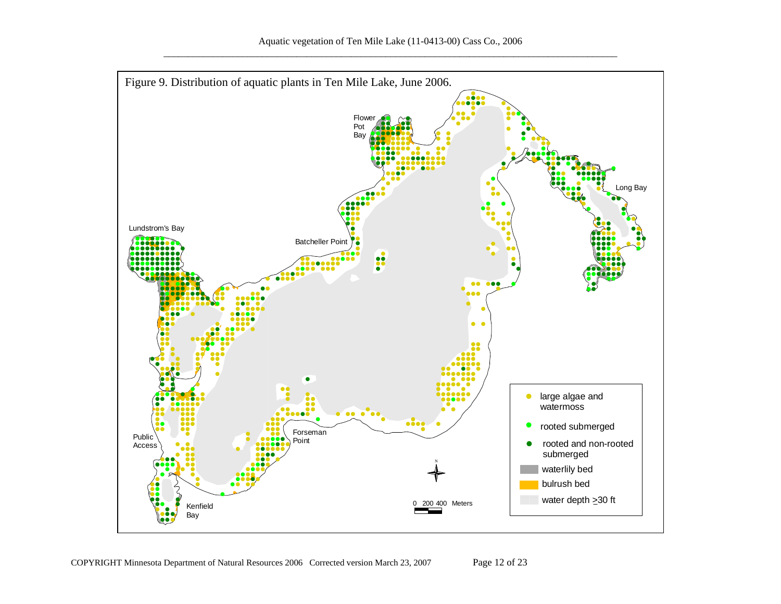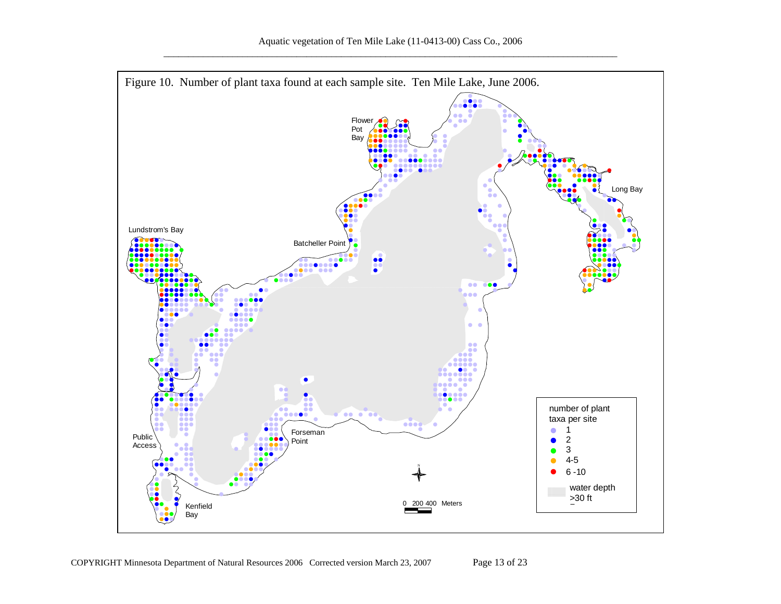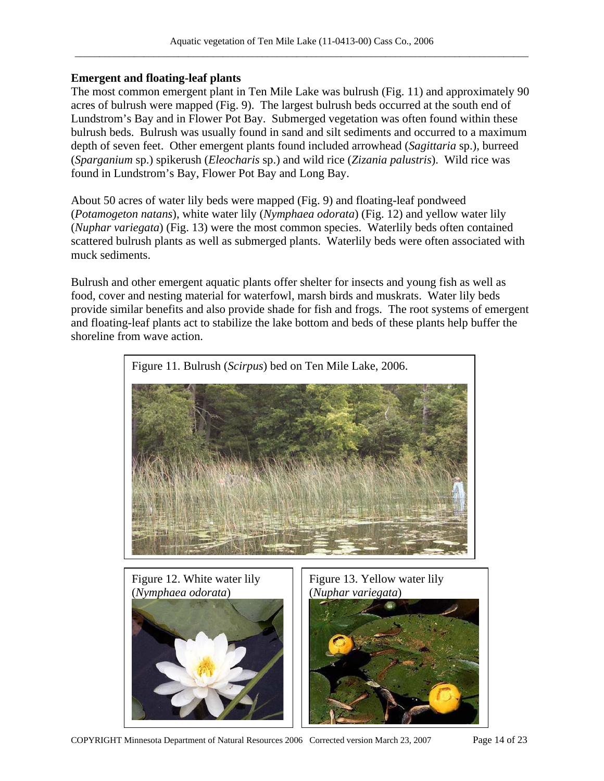### **Emergent and floating-leaf plants**

The most common emergent plant in Ten Mile Lake was bulrush (Fig. 11) and approximately 90 acres of bulrush were mapped (Fig. 9). The largest bulrush beds occurred at the south end of Lundstrom's Bay and in Flower Pot Bay. Submerged vegetation was often found within these bulrush beds. Bulrush was usually found in sand and silt sediments and occurred to a maximum depth of seven feet. Other emergent plants found included arrowhead (*Sagittaria* sp.), burreed (*Sparganium* sp.) spikerush (*Eleocharis* sp.) and wild rice (*Zizania palustris*). Wild rice was found in Lundstrom's Bay, Flower Pot Bay and Long Bay.

About 50 acres of water lily beds were mapped (Fig. 9) and floating-leaf pondweed (*Potamogeton natans*), white water lily (*Nymphaea odorata*) (Fig. 12) and yellow water lily (*Nuphar variegata*) (Fig. 13) were the most common species. Waterlily beds often contained scattered bulrush plants as well as submerged plants. Waterlily beds were often associated with muck sediments.

Bulrush and other emergent aquatic plants offer shelter for insects and young fish as well as food, cover and nesting material for waterfowl, marsh birds and muskrats. Water lily beds provide similar benefits and also provide shade for fish and frogs. The root systems of emergent and floating-leaf plants act to stabilize the lake bottom and beds of these plants help buffer the shoreline from wave action.

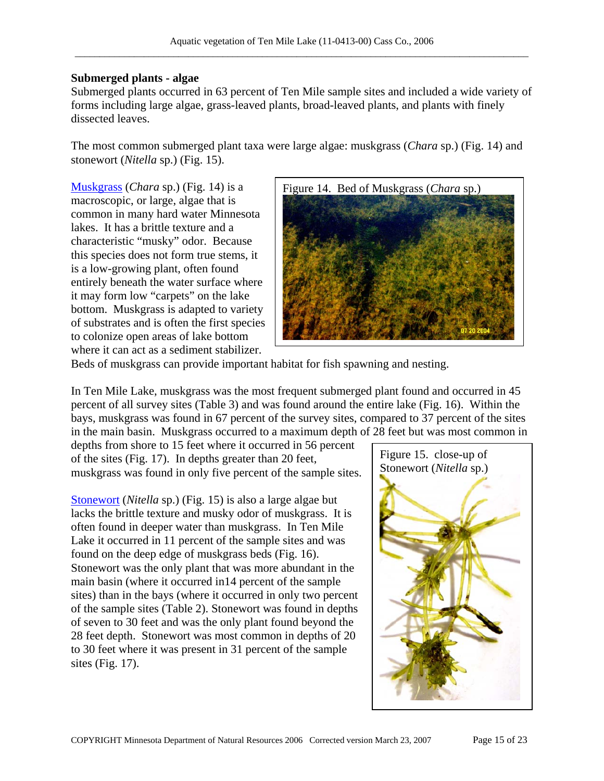#### **Submerged plants - algae**

Submerged plants occurred in 63 percent of Ten Mile sample sites and included a wide variety of forms including large algae, grass-leaved plants, broad-leaved plants, and plants with finely dissected leaves.

The most common submerged plant taxa were large algae: muskgrass (*Chara* sp.) (Fig. 14) and stonewort (*Nitella* sp.) (Fig. 15).

[Muskgrass](http://www.dnr.state.mn.us/aquatic_plants/algae/chara.html) (*Chara* sp.) (Fig. 14) is a macroscopic, or large, algae that is common in many hard water Minnesota lakes. It has a brittle texture and a characteristic "musky" odor. Because this species does not form true stems, it is a low-growing plant, often found entirely beneath the water surface where it may form low "carpets" on the lake bottom. Muskgrass is adapted to variety of substrates and is often the first species to colonize open areas of lake bottom where it can act as a sediment stabilizer.



Beds of muskgrass can provide important habitat for fish spawning and nesting.

In Ten Mile Lake, muskgrass was the most frequent submerged plant found and occurred in 45 percent of all survey sites (Table 3) and was found around the entire lake (Fig. 16). Within the bays, muskgrass was found in 67 percent of the survey sites, compared to 37 percent of the sites in the main basin. Muskgrass occurred to a maximum depth of 28 feet but was most common in

depths from shore to 15 feet where it occurred in 56 percent of the sites (Fig. 17). In depths greater than 20 feet, muskgrass was found in only five percent of the sample sites.

[Stonewort](http://www.dnr.state.mn.us/aquatic_plants/algae/stonewort.html) (*Nitella* sp.) (Fig. 15) is also a large algae but lacks the brittle texture and musky odor of muskgrass. It is often found in deeper water than muskgrass. In Ten Mile Lake it occurred in 11 percent of the sample sites and was found on the deep edge of muskgrass beds (Fig. 16). Stonewort was the only plant that was more abundant in the main basin (where it occurred in14 percent of the sample sites) than in the bays (where it occurred in only two percent of the sample sites (Table 2). Stonewort was found in depths of seven to 30 feet and was the only plant found beyond the 28 feet depth. Stonewort was most common in depths of 20 to 30 feet where it was present in 31 percent of the sample sites (Fig. 17).

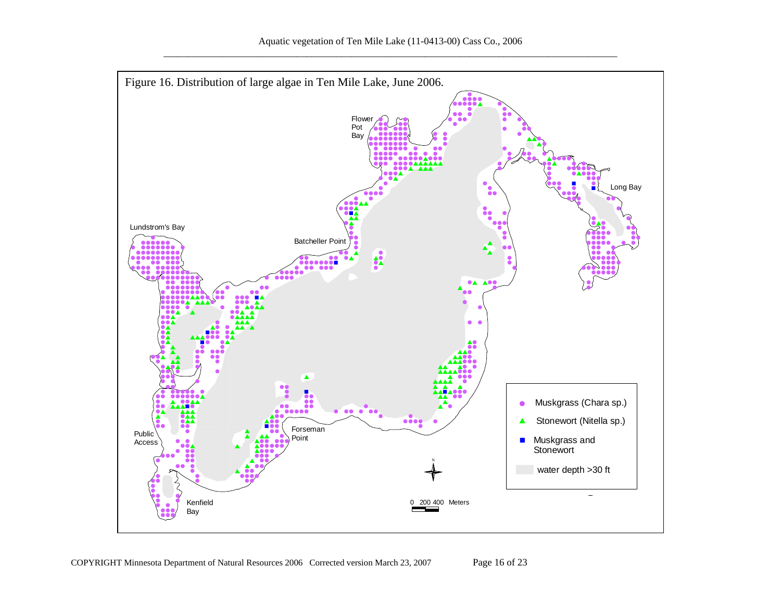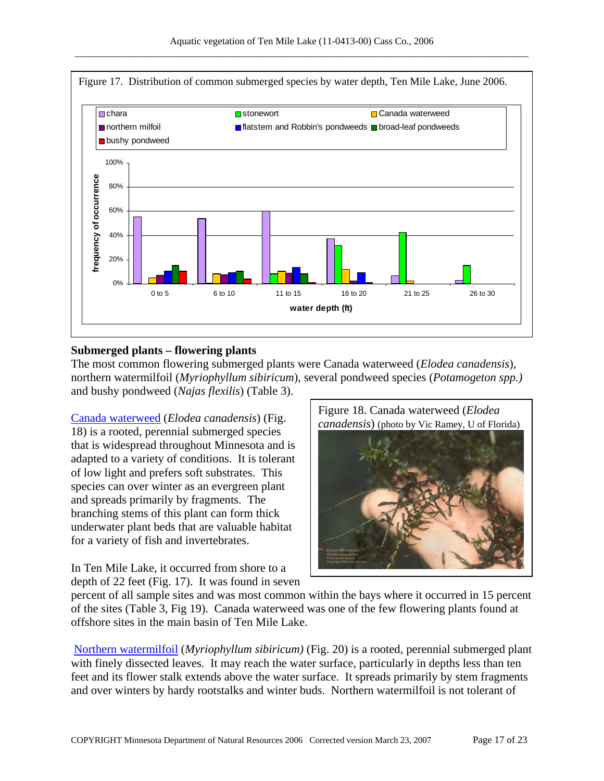

### **Submerged plants – flowering plants**

The most common flowering submerged plants were Canada waterweed (*Elodea canadensis*), northern watermilfoil (*Myriophyllum sibiricum*), several pondweed species (*Potamogeton spp.)* and bushy pondweed (*Najas flexilis*) (Table 3).

[Canada waterweed](http://www.dnr.state.mn.us/aquatic_plants/submerged_plants/canada_waterweed.html) (*Elodea canadensis*) (Fig. 18) is a rooted, perennial submerged species that is widespread throughout Minnesota and is adapted to a variety of conditions. It is tolerant of low light and prefers soft substrates. This species can over winter as an evergreen plant and spreads primarily by fragments. The branching stems of this plant can form thick underwater plant beds that are valuable habitat for a variety of fish and invertebrates.

In Ten Mile Lake, it occurred from shore to a depth of 22 feet (Fig. 17). It was found in seven



percent of all sample sites and was most common within the bays where it occurred in 15 percent of the sites (Table 3, Fig 19). Canada waterweed was one of the few flowering plants found at offshore sites in the main basin of Ten Mile Lake.

[Northern watermilfoil](http://www.dnr.state.mn.us/aquatic_plants/submerged_plants/northern_watermilfoil.html) (*Myriophyllum sibiricum)* (Fig. 20) is a rooted, perennial submerged plant with finely dissected leaves. It may reach the water surface, particularly in depths less than ten feet and its flower stalk extends above the water surface. It spreads primarily by stem fragments and over winters by hardy rootstalks and winter buds. Northern watermilfoil is not tolerant of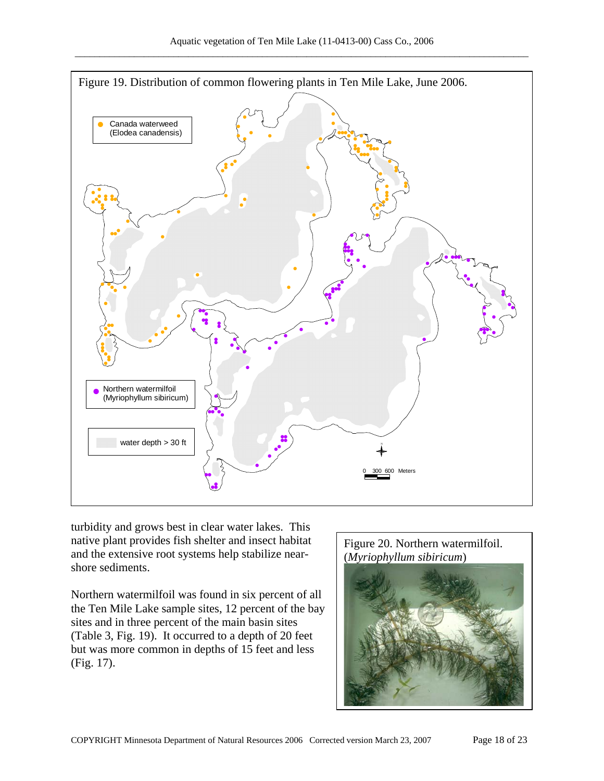

turbidity and grows best in clear water lakes. This native plant provides fish shelter and insect habitat and the extensive root systems help stabilize nearshore sediments.

Northern watermilfoil was found in six percent of all the Ten Mile Lake sample sites, 12 percent of the bay sites and in three percent of the main basin sites (Table 3, Fig. 19). It occurred to a depth of 20 feet but was more common in depths of 15 feet and less (Fig. 17).

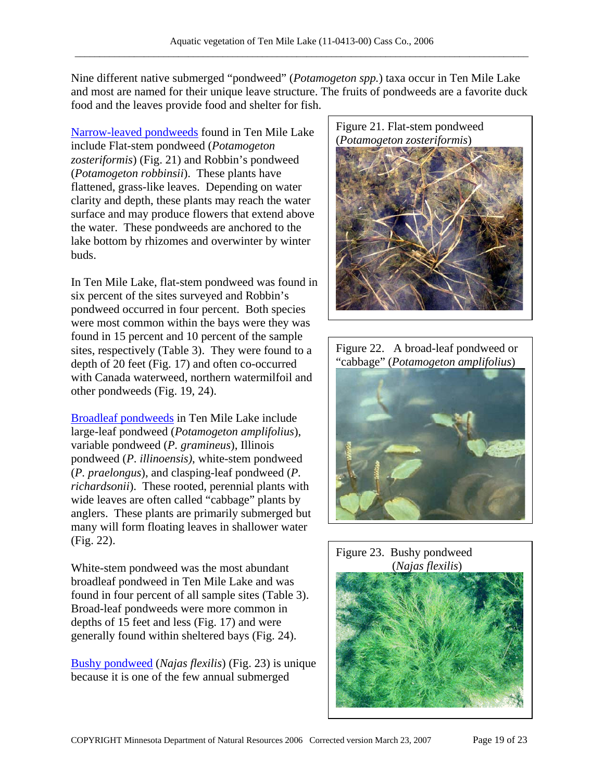Nine different native submerged "pondweed" (*Potamogeton spp.*) taxa occur in Ten Mile Lake and most are named for their unique leave structure. The fruits of pondweeds are a favorite duck food and the leaves provide food and shelter for fish.

(*Potamogeton zosteriformis*) [Narrow-leaved pondweeds](http://www.dnr.state.mn.us/aquatic_plants/submerged_plants/narrowleaf_pondweeds.html) found in Ten Mile Lake include Flat-stem pondweed (*Potamogeton zosteriformis*) (Fig. 21) and Robbin's pondweed (*Potamogeton robbinsii*). These plants have flattened, grass-like leaves. Depending on water clarity and depth, these plants may reach the water surface and may produce flowers that extend above the water. These pondweeds are anchored to the lake bottom by rhizomes and overwinter by winter buds.

In Ten Mile Lake, flat-stem pondweed was found in six percent of the sites surveyed and Robbin's pondweed occurred in four percent. Both species were most common within the bays were they was found in 15 percent and 10 percent of the sample sites, respectively (Table 3). They were found to a depth of 20 feet (Fig. 17) and often co-occurred with Canada waterweed, northern watermilfoil and other pondweeds (Fig. 19, 24).

[Broadleaf pondweeds](http://www.dnr.state.mn.us/aquatic_plants/submerged_plants/broadleaf_pondweeds.html) in Ten Mile Lake include large-leaf pondweed (*Potamogeton amplifolius*), variable pondweed (*P. gramineus*), Illinois pondweed (*P*. *illinoensis)*, white-stem pondweed (*P. praelongus*), and clasping-leaf pondweed (*P. richardsonii*). These rooted, perennial plants with wide leaves are often called "cabbage" plants by anglers. These plants are primarily submerged but many will form floating leaves in shallower water (Fig. 22).

White-stem pondweed was the most abundant (*Najas flexilis*) broadleaf pondweed in Ten Mile Lake and was found in four percent of all sample sites (Table 3). Broad-leaf pondweeds were more common in depths of 15 feet and less (Fig. 17) and were generally found within sheltered bays (Fig. 24).

[Bushy pondweed](http://www.dnr.state.mn.us/aquatic_plants/submerged_plants/bushy_pondweeds.html) (*Najas flexilis*) (Fig. 23) is unique because it is one of the few annual submerged





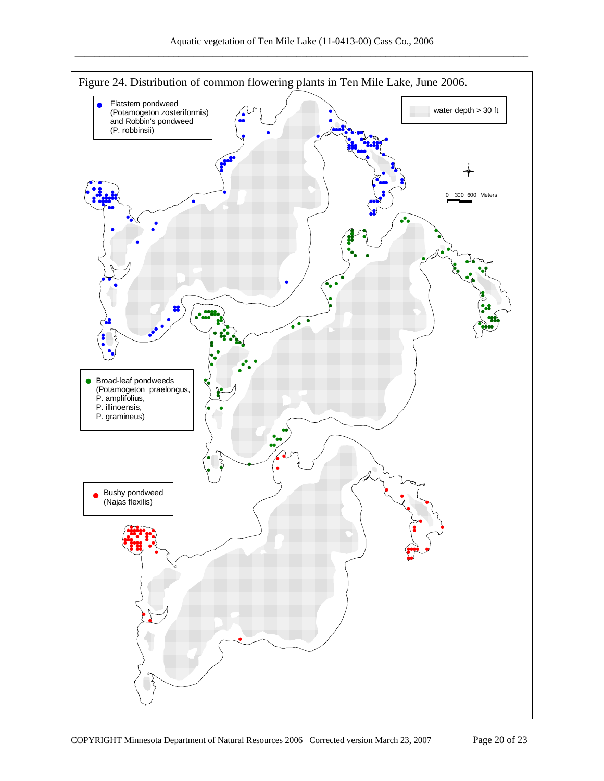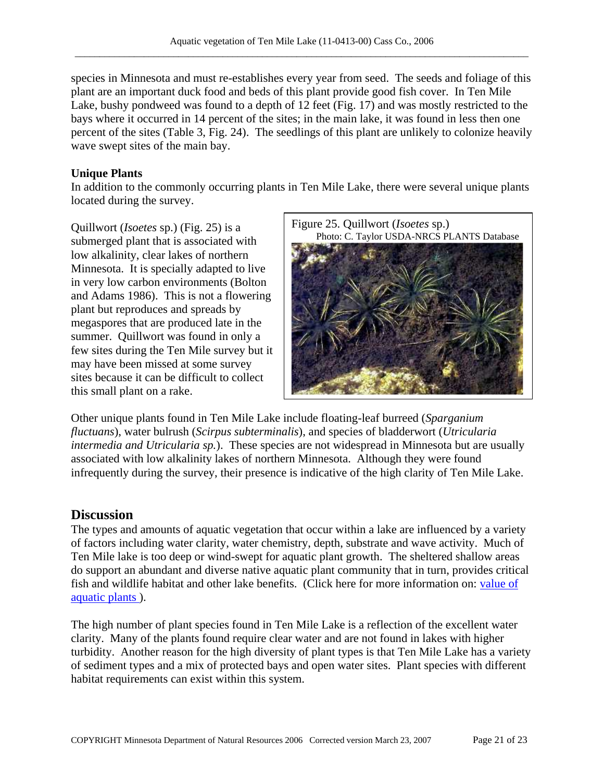species in Minnesota and must re-establishes every year from seed. The seeds and foliage of this plant are an important duck food and beds of this plant provide good fish cover. In Ten Mile Lake, bushy pondweed was found to a depth of 12 feet (Fig. 17) and was mostly restricted to the bays where it occurred in 14 percent of the sites; in the main lake, it was found in less then one percent of the sites (Table 3, Fig. 24). The seedlings of this plant are unlikely to colonize heavily wave swept sites of the main bay.

### **Unique Plants**

In addition to the commonly occurring plants in Ten Mile Lake, there were several unique plants located during the survey.

submerged plant that is associated with low alkalinity, clear lakes of northern Minnesota. It is specially adapted to live in very low carbon environments (Bolton and Adams 1986). This is not a flowering plant but reproduces and spreads by megaspores that are produced late in the summer. Quillwort was found in only a few sites during the Ten Mile survey but it may have been missed at some survey sites because it can be difficult to collect this small plant on a rake.



Other unique plants found in Ten Mile Lake include floating-leaf burreed (*Sparganium fluctuans*), water bulrush (*Scirpus subterminalis*), and species of bladderwort (*Utricularia intermedia and Utricularia sp.*). These species are not widespread in Minnesota but are usually associated with low alkalinity lakes of northern Minnesota. Although they were found infrequently during the survey, their presence is indicative of the high clarity of Ten Mile Lake.

### **Discussion**

The types and amounts of aquatic vegetation that occur within a lake are influenced by a variety of factors including water clarity, water chemistry, depth, substrate and wave activity. Much of Ten Mile lake is too deep or wind-swept for aquatic plant growth. The sheltered shallow areas do support an abundant and diverse native aquatic plant community that in turn, provides critical fish and wildlife habitat and other lake benefits. (Click here for more information on: [value of](http://www.dnr.state.mn.us/shorelandmgmt/apg/value.html)  [aquatic plants](http://www.dnr.state.mn.us/shorelandmgmt/apg/value.html) ).

The high number of plant species found in Ten Mile Lake is a reflection of the excellent water clarity. Many of the plants found require clear water and are not found in lakes with higher turbidity. Another reason for the high diversity of plant types is that Ten Mile Lake has a variety of sediment types and a mix of protected bays and open water sites. Plant species with different habitat requirements can exist within this system.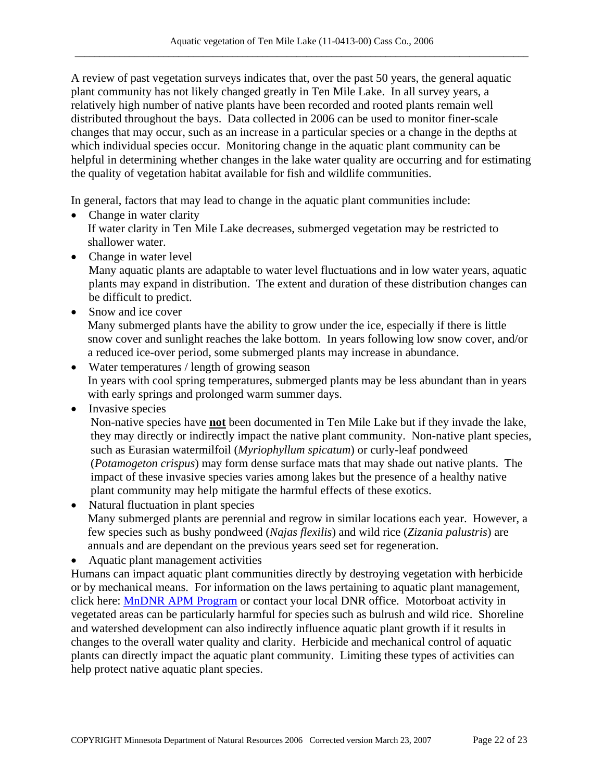A review of past vegetation surveys indicates that, over the past 50 years, the general aquatic plant community has not likely changed greatly in Ten Mile Lake. In all survey years, a relatively high number of native plants have been recorded and rooted plants remain well distributed throughout the bays. Data collected in 2006 can be used to monitor finer-scale changes that may occur, such as an increase in a particular species or a change in the depths at which individual species occur. Monitoring change in the aquatic plant community can be helpful in determining whether changes in the lake water quality are occurring and for estimating the quality of vegetation habitat available for fish and wildlife communities.

In general, factors that may lead to change in the aquatic plant communities include:

- Change in water clarity If water clarity in Ten Mile Lake decreases, submerged vegetation may be restricted to shallower water.
- Change in water level

Many aquatic plants are adaptable to water level fluctuations and in low water years, aquatic plants may expand in distribution. The extent and duration of these distribution changes can be difficult to predict.

- Snow and ice cover Many submerged plants have the ability to grow under the ice, especially if there is little snow cover and sunlight reaches the lake bottom. In years following low snow cover, and/or a reduced ice-over period, some submerged plants may increase in abundance.
- Water temperatures / length of growing season In years with cool spring temperatures, submerged plants may be less abundant than in years with early springs and prolonged warm summer days.
- Invasive species

Non-native species have **not** been documented in Ten Mile Lake but if they invade the lake, they may directly or indirectly impact the native plant community. Non-native plant species, such as Eurasian watermilfoil (*Myriophyllum spicatum*) or curly-leaf pondweed (*Potamogeton crispus*) may form dense surface mats that may shade out native plants. The impact of these invasive species varies among lakes but the presence of a healthy native plant community may help mitigate the harmful effects of these exotics.

- Natural fluctuation in plant species Many submerged plants are perennial and regrow in similar locations each year. However, a few species such as bushy pondweed (*Najas flexilis*) and wild rice (*Zizania palustris*) are annuals and are dependant on the previous years seed set for regeneration.
- Aquatic plant management activities

Humans can impact aquatic plant communities directly by destroying vegetation with herbicide or by mechanical means. For information on the laws pertaining to aquatic plant management, click here: [MnDNR APM Program](http://www.dnr.state.mn.us/ecological_services/apm/index.html) or contact your local DNR office. Motorboat activity in vegetated areas can be particularly harmful for species such as bulrush and wild rice. Shoreline and watershed development can also indirectly influence aquatic plant growth if it results in changes to the overall water quality and clarity. Herbicide and mechanical control of aquatic plants can directly impact the aquatic plant community. Limiting these types of activities can help protect native aquatic plant species.